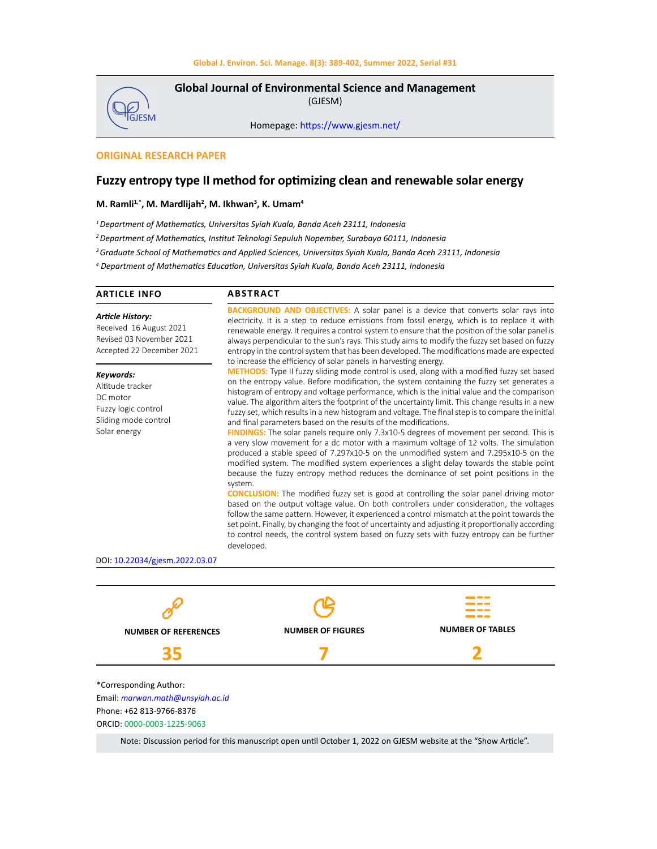

**Global Journal of Environmental Science and Management**  (GJESM)

Homepage: [https://www.gjesm.net/](https://www.gjesm.net/ )

## **ORIGINAL RESEARCH PAPER**

# **Fuzzy entropy type II method for optimizing clean and renewable solar energy**

#### **M. Ramli1,\*, M. Mardlijah2 , M. Ikhwan<sup>3</sup> , K. Umam4**

*<sup>1</sup>Department of Mathematics, Universitas Syiah Kuala, Banda Aceh 23111, Indonesia*

*2 Department of Mathematics, Institut Teknologi Sepuluh Nopember, Surabaya 60111, Indonesia*

*3 Graduate School of Mathematics and Applied Sciences, Universitas Syiah Kuala, Banda Aceh 23111, Indonesia*

*4 Department of Mathematics Education, Universitas Syiah Kuala, Banda Aceh 23111, Indonesia*

| <b>ARTICLE INFO</b>                                                                                                                                                                                                     | <b>ABSTRACT</b>                                                                                                                                                                                                                                                                                                                                                                                                                                                                                                                                                                                                                                                                                                                                                                                                                                                                                                                                                                                                                                                                                                                                                                                                                                                                                                                                                                                                                                                                                                                                                                                                                                   |  |  |  |  |
|-------------------------------------------------------------------------------------------------------------------------------------------------------------------------------------------------------------------------|---------------------------------------------------------------------------------------------------------------------------------------------------------------------------------------------------------------------------------------------------------------------------------------------------------------------------------------------------------------------------------------------------------------------------------------------------------------------------------------------------------------------------------------------------------------------------------------------------------------------------------------------------------------------------------------------------------------------------------------------------------------------------------------------------------------------------------------------------------------------------------------------------------------------------------------------------------------------------------------------------------------------------------------------------------------------------------------------------------------------------------------------------------------------------------------------------------------------------------------------------------------------------------------------------------------------------------------------------------------------------------------------------------------------------------------------------------------------------------------------------------------------------------------------------------------------------------------------------------------------------------------------------|--|--|--|--|
| <b>Article History:</b><br>Received 16 August 2021<br>Revised 03 November 2021<br>Accepted 22 December 2021<br>Keywords:<br>Altitude tracker<br>DC motor<br>Fuzzy logic control<br>Sliding mode control<br>Solar energy | <b>BACKGROUND AND OBJECTIVES:</b> A solar panel is a device that converts solar rays into<br>electricity. It is a step to reduce emissions from fossil energy, which is to replace it with<br>renewable energy. It requires a control system to ensure that the position of the solar panel is<br>always perpendicular to the sun's rays. This study aims to modify the fuzzy set based on fuzzy<br>entropy in the control system that has been developed. The modifications made are expected                                                                                                                                                                                                                                                                                                                                                                                                                                                                                                                                                                                                                                                                                                                                                                                                                                                                                                                                                                                                                                                                                                                                                    |  |  |  |  |
|                                                                                                                                                                                                                         | to increase the efficiency of solar panels in harvesting energy.<br><b>METHODS:</b> Type II fuzzy sliding mode control is used, along with a modified fuzzy set based<br>on the entropy value. Before modification, the system containing the fuzzy set generates a<br>histogram of entropy and voltage performance, which is the initial value and the comparison<br>value. The algorithm alters the footprint of the uncertainty limit. This change results in a new<br>fuzzy set, which results in a new histogram and voltage. The final step is to compare the initial<br>and final parameters based on the results of the modifications.<br><b>FINDINGS:</b> The solar panels require only 7.3x10-5 degrees of movement per second. This is<br>a very slow movement for a dc motor with a maximum voltage of 12 volts. The simulation<br>produced a stable speed of 7.297x10-5 on the unmodified system and 7.295x10-5 on the<br>modified system. The modified system experiences a slight delay towards the stable point<br>because the fuzzy entropy method reduces the dominance of set point positions in the<br>system.<br><b>CONCLUSION:</b> The modified fuzzy set is good at controlling the solar panel driving motor<br>based on the output voltage value. On both controllers under consideration, the voltages<br>follow the same pattern. However, it experienced a control mismatch at the point towards the<br>set point. Finally, by changing the foot of uncertainty and adjusting it proportionally according<br>to control needs, the control system based on fuzzy sets with fuzzy entropy can be further<br>developed. |  |  |  |  |
|                                                                                                                                                                                                                         |                                                                                                                                                                                                                                                                                                                                                                                                                                                                                                                                                                                                                                                                                                                                                                                                                                                                                                                                                                                                                                                                                                                                                                                                                                                                                                                                                                                                                                                                                                                                                                                                                                                   |  |  |  |  |

DOI: 10.22034/gjesm.2022.03.07



Note: Discussion period for this manuscript open until October 1, 2022 on GJESM website at the "Show Article".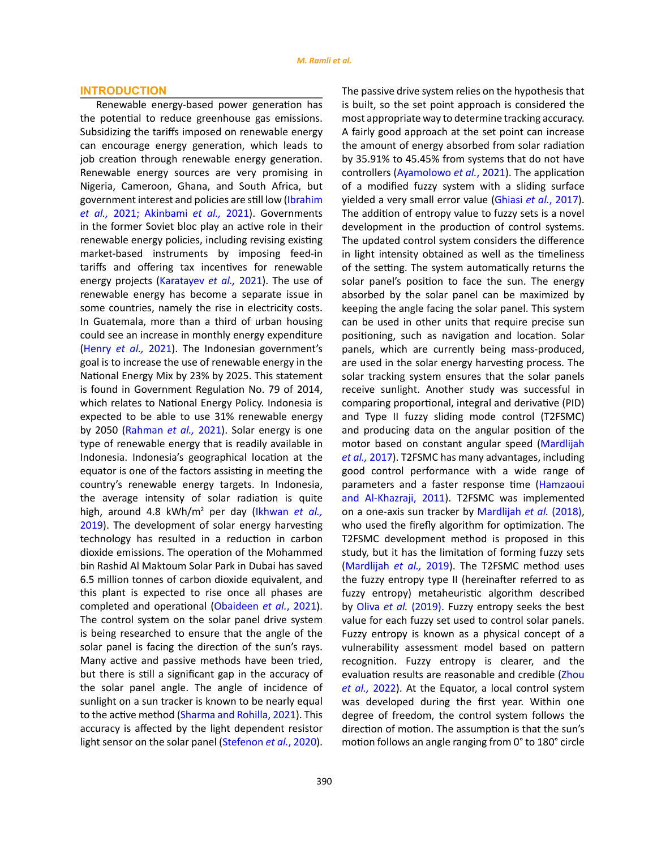## **INTRODUCTION**

Renewable energy-based power generation has the potential to reduce greenhouse gas emissions. Subsidizing the tariffs imposed on renewable energy can encourage energy generation, which leads to job creation through renewable energy generation. Renewable energy sources are very promising in Nigeria, Cameroon, Ghana, and South Africa, but government interest and policies are still low (Ibrahim *et al.,* 2021; Akinbami *et al.,* 2021). Governments in the former Soviet bloc play an active role in their renewable energy policies, including revising existing market-based instruments by imposing feed-in tariffs and offering tax incentives for renewable energy projects (Karatayev *et al.,* 2021). The use of renewable energy has become a separate issue in some countries, namely the rise in electricity costs. In Guatemala, more than a third of urban housing could see an increase in monthly energy expenditure (Henry *et al.,* 2021). The Indonesian government's goal is to increase the use of renewable energy in the National Energy Mix by 23% by 2025. This statement is found in Government Regulation No. 79 of 2014, which relates to National Energy Policy. Indonesia is expected to be able to use 31% renewable energy by 2050 (Rahman *et al.,* 2021). Solar energy is one type of renewable energy that is readily available in Indonesia. Indonesia's geographical location at the equator is one of the factors assisting in meeting the country's renewable energy targets. In Indonesia, the average intensity of solar radiation is quite high, around 4.8 kWh/m<sup>2</sup> per day (Ikhwan *et al.,* 2019). The development of solar energy harvesting technology has resulted in a reduction in carbon dioxide emissions. The operation of the Mohammed bin Rashid Al Maktoum Solar Park in Dubai has saved 6.5 million tonnes of carbon dioxide equivalent, and this plant is expected to rise once all phases are completed and operational (Obaideen *et al.*, 2021). The control system on the solar panel drive system is being researched to ensure that the angle of the solar panel is facing the direction of the sun's rays. Many active and passive methods have been tried, but there is still a significant gap in the accuracy of the solar panel angle. The angle of incidence of sunlight on a sun tracker is known to be nearly equal to the active method (Sharma and Rohilla, 2021). This accuracy is affected by the light dependent resistor light sensor on the solar panel (Stefenon *et al.*, 2020).

The passive drive system relies on the hypothesis that is built, so the set point approach is considered the most appropriate way to determine tracking accuracy. A fairly good approach at the set point can increase the amount of energy absorbed from solar radiation by 35.91% to 45.45% from systems that do not have controllers (Ayamolowo *et al.*, 2021). The application of a modified fuzzy system with a sliding surface yielded a very small error value (Ghiasi *et al.*, 2017). The addition of entropy value to fuzzy sets is a novel development in the production of control systems. The updated control system considers the difference in light intensity obtained as well as the timeliness of the setting. The system automatically returns the solar panel's position to face the sun. The energy absorbed by the solar panel can be maximized by keeping the angle facing the solar panel. This system can be used in other units that require precise sun positioning, such as navigation and location. Solar panels, which are currently being mass-produced, are used in the solar energy harvesting process. The solar tracking system ensures that the solar panels receive sunlight. Another study was successful in comparing proportional, integral and derivative (PID) and Type II fuzzy sliding mode control (T2FSMC) and producing data on the angular position of the motor based on constant angular speed (Mardlijah *et al.,* 2017). T2FSMC has many advantages, including good control performance with a wide range of parameters and a faster response time (Hamzaoui and Al-Khazraji, 2011). T2FSMC was implemented on a one-axis sun tracker by Mardlijah *et al.* (2018), who used the firefly algorithm for optimization. The T2FSMC development method is proposed in this study, but it has the limitation of forming fuzzy sets (Mardlijah *et al.,* 2019). The T2FSMC method uses the fuzzy entropy type II (hereinafter referred to as fuzzy entropy) metaheuristic algorithm described by Oliva *et al.* (2019). Fuzzy entropy seeks the best value for each fuzzy set used to control solar panels. Fuzzy entropy is known as a physical concept of a vulnerability assessment model based on pattern recognition. Fuzzy entropy is clearer, and the evaluation results are reasonable and credible (Zhou *et al.,* 2022). At the Equator, a local control system was developed during the first year. Within one degree of freedom, the control system follows the direction of motion. The assumption is that the sun's motion follows an angle ranging from 0° to 180° circle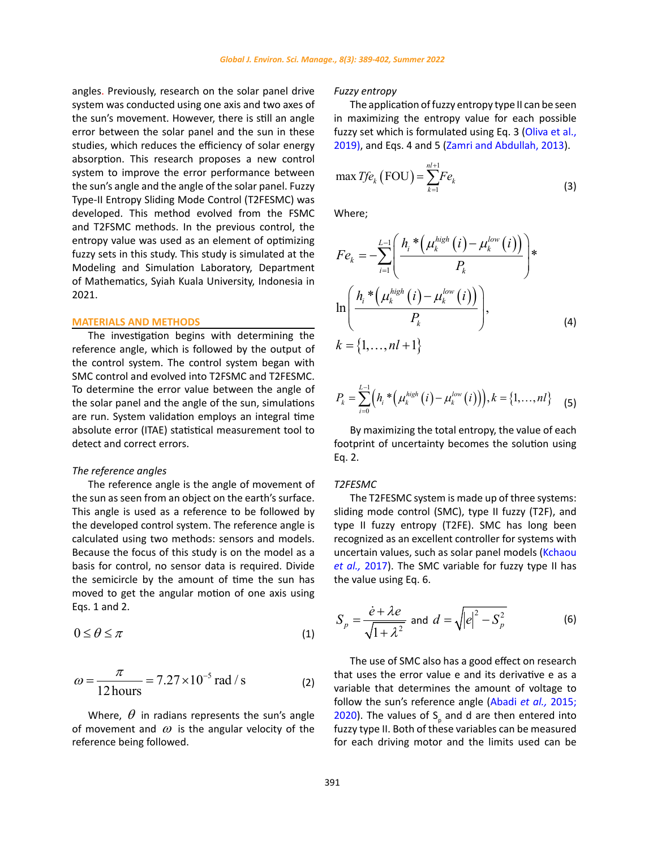angles. Previously, research on the solar panel drive system was conducted using one axis and two axes of the sun's movement. However, there is still an angle error between the solar panel and the sun in these studies, which reduces the efficiency of solar energy absorption. This research proposes a new control system to improve the error performance between the sun's angle and the angle of the solar panel. Fuzzy Type-II Entropy Sliding Mode Control (T2FESMC) was developed. This method evolved from the FSMC and T2FSMC methods. In the previous control, the entropy value was used as an element of optimizing fuzzy sets in this study. This study is simulated at the Modeling and Simulation Laboratory, Department of Mathematics, Syiah Kuala University, Indonesia in 2021.

#### **MATERIALS AND METHODS**

The investigation begins with determining the reference angle, which is followed by the output of the control system. The control system began with SMC control and evolved into T2FSMC and T2FESMC. To determine the error value between the angle of the solar panel and the angle of the sun, simulations are run. System validation employs an integral time absolute error (ITAE) statistical measurement tool to detect and correct errors.

### *The reference angles*

The reference angle is the angle of movement of the sun as seen from an object on the earth's surface. This angle is used as a reference to be followed by the developed control system. The reference angle is calculated using two methods: sensors and models. Because the focus of this study is on the model as a basis for control, no sensor data is required. Divide the semicircle by the amount of time the sun has moved to get the angular motion of one axis using Eqs. 1 and 2.

$$
0 \le \theta \le \pi \tag{1}
$$

$$
\omega = \frac{\pi}{12 \text{ hours}} = 7.27 \times 10^{-5} \text{ rad/s}
$$
 (2)

Where,  $\theta$  in radians represents the sun's angle of movement and  $\omega$  is the angular velocity of the reference being followed.

#### *Fuzzy entropy*

The application of fuzzy entropy type II can be seen in maximizing the entropy value for each possible fuzzy set which is formulated using Eq. 3 (Oliva et al., 2019), and Eqs. 4 and 5 (Zamri and Abdullah, 2013).

$$
\max T f e_k (\text{FOU}) = \sum_{k=1}^{n+1} F e_k \tag{3}
$$

Where;

$$
Fe_k = -\sum_{i=1}^{L-1} \left( \frac{h_i^* \left( \mu_k^{high}(i) - \mu_k^{low}(i) \right)}{P_k} \right) * \n\ln \left( \frac{h_i^* \left( \mu_k^{high}(i) - \mu_k^{low}(i) \right)}{P_k} \right), \nk = \{1, ..., nl+1\}
$$
\n(4)

$$
P_k = \sum_{i=0}^{L-1} \Big( h_i \cdot \Big( \mu_k^{high}(i) - \mu_k^{low}(i) \Big) \Big), k = \{1, \ldots, n\} \tag{5}
$$

By maximizing the total entropy, the value of each footprint of uncertainty becomes the solution using Eq. 2.

## *T2FESMC*

The T2FESMC system is made up of three systems: sliding mode control (SMC), type II fuzzy (T2F), and type II fuzzy entropy (T2FE). SMC has long been recognized as an excellent controller for systems with uncertain values, such as solar panel models (Kchaou *et al.,* 2017). The SMC variable for fuzzy type II has the value using Eq. 6.

$$
S_p = \frac{\dot{e} + \lambda e}{\sqrt{1 + \lambda^2}} \text{ and } d = \sqrt{|e|^2 - S_p^2}
$$
 (6)

The use of SMC also has a good effect on research that uses the error value e and its derivative e as a variable that determines the amount of voltage to follow the sun's reference angle (Abadi *et al.,* 2015; 2020). The values of  $S_p$  and d are then entered into fuzzy type II. Both of these variables can be measured for each driving motor and the limits used can be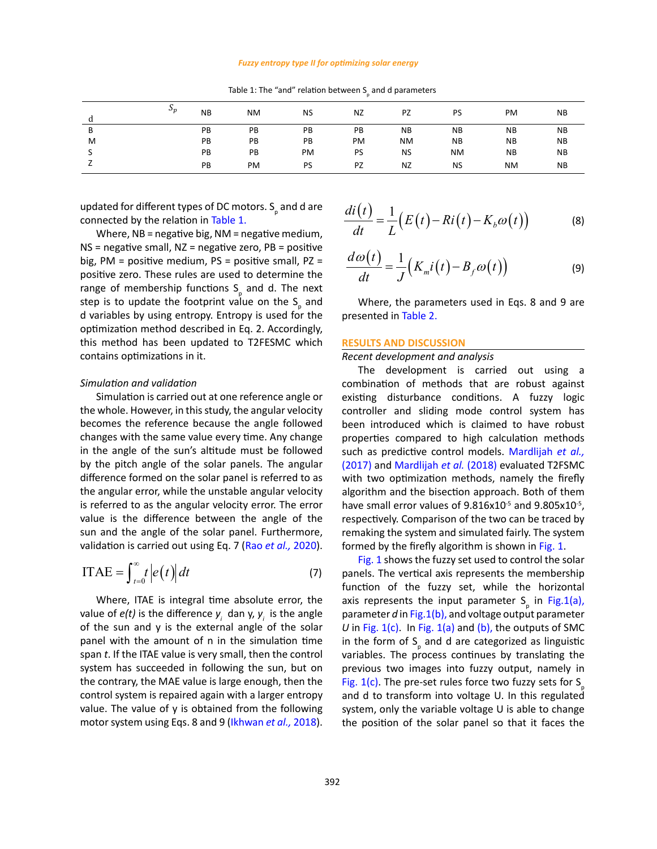#### *Fuzzy entropy type II for optimizing solar energy*

| d | $\mathfrak{p}_p$ | <b>NB</b> | <b>NM</b> | <b>NS</b> | <b>NZ</b> | <b>PZ</b> | <b>PS</b> | PM        | <b>NB</b> |
|---|------------------|-----------|-----------|-----------|-----------|-----------|-----------|-----------|-----------|
| B |                  | PB        | PB        | PB        | PB        | <b>NB</b> | <b>NB</b> | <b>NB</b> | <b>NB</b> |
| M |                  | PB        | PB        | PB        | PM        | <b>NM</b> | <b>NB</b> | <b>NB</b> | <b>NB</b> |
|   |                  | PB        | PB        | PM        | PS        | <b>NS</b> | <b>NM</b> | <b>NB</b> | <b>NB</b> |
|   |                  | PB        | PM        | PS        | <b>PZ</b> | <b>NZ</b> | <b>NS</b> | <b>NM</b> | <b>NB</b> |

Table 1: The "and" relation between  $S_{\rho}$  and d parameters

updated for different types of DC motors.  $\mathsf{S}_\mathsf{p}$  and d are connected by the relation in Table 1.

Where, NB = negative big, NM = negative medium, NS = negative small, NZ = negative zero, PB = positive big, PM = positive medium,  $PS$  = positive small,  $PZ$  = positive zero. These rules are used to determine the range of membership functions  $S_p$  and d. The next step is to update the footprint value on the  $S_p$  and d variables by using entropy. Entropy is used for the optimization method described in Eq. 2. Accordingly, this method has been updated to T2FESMC which contains optimizations in it.

### *Simulation and validation*

Simulation is carried out at one reference angle or the whole. However, in this study, the angular velocity becomes the reference because the angle followed changes with the same value every time. Any change in the angle of the sun's altitude must be followed by the pitch angle of the solar panels. The angular difference formed on the solar panel is referred to as the angular error, while the unstable angular velocity is referred to as the angular velocity error. The error value is the difference between the angle of the sun and the angle of the solar panel. Furthermore, validation is carried out using Eq. 7 (Rao *et al.,* 2020).

$$
ITAE = \int_{t=0}^{\infty} t \left| e(t) \right| dt \tag{7}
$$

Where, ITAE is integral time absolute error, the value of *e(t)* is the difference  $y_i$  dan  $y_i$ ,  $y_j$  is the angle of the sun and y is the external angle of the solar panel with the amount of n in the simulation time span *t*. If the ITAE value is very small, then the control system has succeeded in following the sun, but on the contrary, the MAE value is large enough, then the control system is repaired again with a larger entropy value. The value of y is obtained from the following motor system using Eqs. 8 and 9 (Ikhwan *et al.,* 2018).

$$
\frac{di(t)}{dt} = \frac{1}{L}\big(E(t) - Ri(t) - K_b\omega(t)\big) \tag{8}
$$

$$
\frac{d\omega(t)}{dt} = \frac{1}{J}\Big(K_{m}i\big(t\big) - B_{f}\omega\big(t\big)\Big) \tag{9}
$$

Where, the parameters used in Eqs. 8 and 9 are presented in Table 2.

### **RESULTS AND DISCUSSION**

## *Recent development and analysis*

The development is carried out using a combination of methods that are robust against existing disturbance conditions. A fuzzy logic controller and sliding mode control system has been introduced which is claimed to have robust properties compared to high calculation methods such as predictive control models. Mardlijah *et al.,*  (2017) and Mardlijah *et al.* (2018) evaluated T2FSMC with two optimization methods, namely the firefly algorithm and the bisection approach. Both of them have small error values of 9.816x10<sup>-5</sup> and 9.805x10<sup>-5</sup>, respectively. Comparison of the two can be traced by remaking the system and simulated fairly. The system formed by the firefly algorithm is shown in Fig. 1.

Fig. 1 shows the fuzzy set used to control the solar panels. The vertical axis represents the membership function of the fuzzy set, while the horizontal axis represents the input parameter  $S_p$  in Fig.1(a), parameter *d* in Fig.1(b), and voltage output parameter *U* in Fig. 1(c). In Fig. 1(a) and (b), the outputs of SMC in the form of  $S_p$  and d are categorized as linguistic variables. The process continues by translating the previous two images into fuzzy output, namely in Fig.  $1(c)$ . The pre-set rules force two fuzzy sets for S and d to transform into voltage U. In this regulated system, only the variable voltage U is able to change the position of the solar panel so that it faces the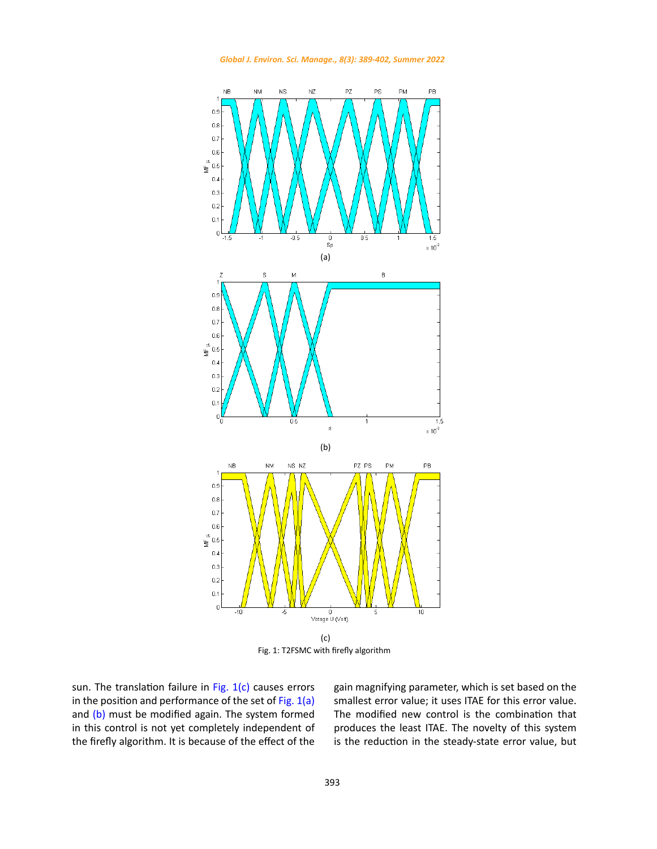

*Global J. Environ. Sci. Manage., 8(3): 389-402, Summer 2022*

Fig. 1: T2FSMC with firefly algorithm

sun. The translation failure in Fig.  $1(c)$  causes errors in the position and performance of the set of Fig.  $1(a)$ and (b) must be modified again. The system formed in this control is not yet completely independent of the firefly algorithm. It is because of the effect of the gain magnifying parameter, which is set based on the smallest error value; it uses ITAE for this error value. The modified new control is the combination that produces the least ITAE. The novelty of this system is the reduction in the steady-state error value, but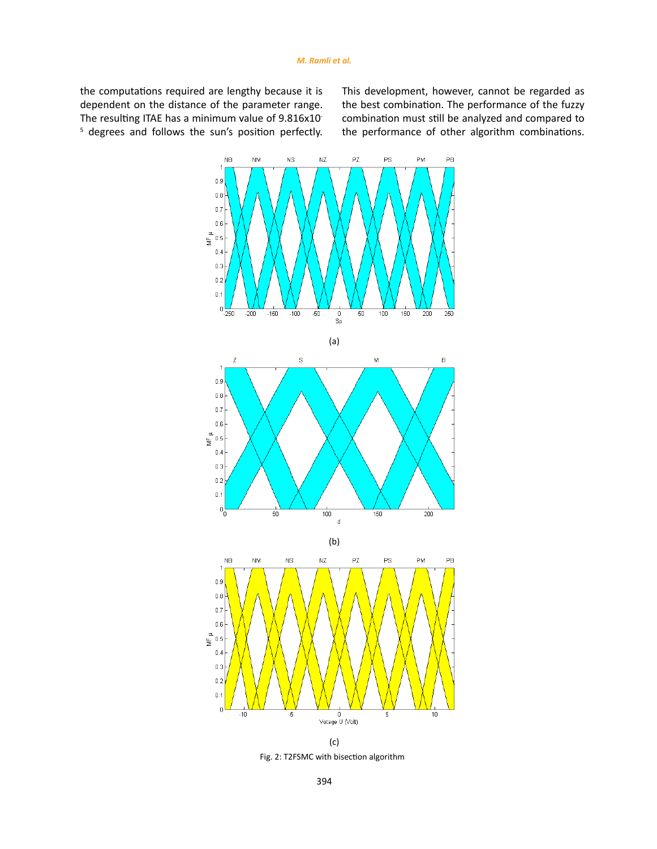the computations required are lengthy because it is dependent on the distance of the parameter range. The resulting ITAE has a minimum value of 9.816x10<sup>-</sup> 5 degrees and follows the sun's position perfectly. This development, however, cannot be regarded as the best combination. The performance of the fuzzy combination must still be analyzed and compared to the performance of other algorithm combinations.



(c) Fig. 2: T2FSMC with bisection algorithm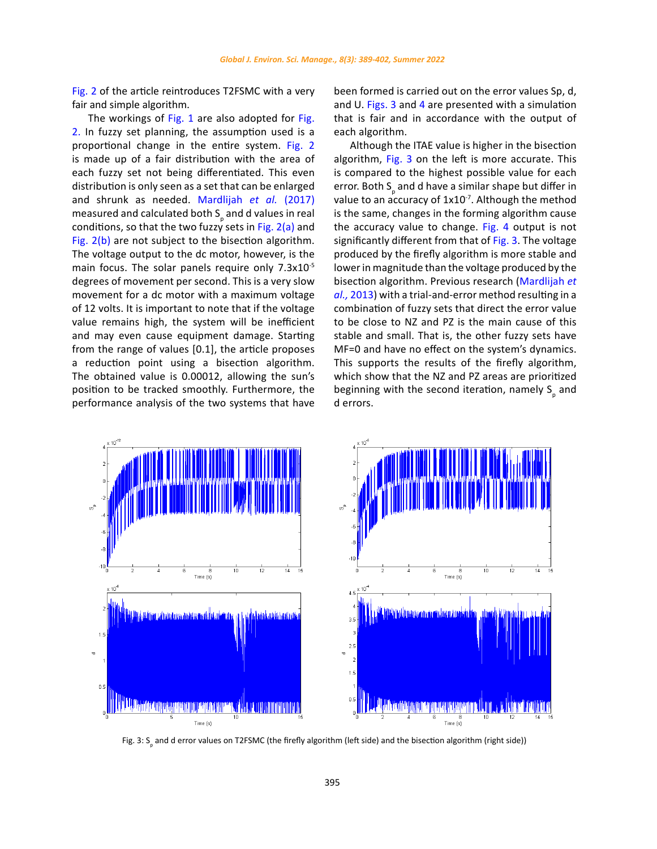Fig. 2 of the article reintroduces T2FSMC with a very fair and simple algorithm.

The workings of Fig. 1 are also adopted for Fig. 2. In fuzzy set planning, the assumption used is a proportional change in the entire system. Fig. 2 is made up of a fair distribution with the area of each fuzzy set not being differentiated. This even distribution is only seen as a set that can be enlarged and shrunk as needed. Mardlijah *et al.* (2017) measured and calculated both  $S_{\rho}$  and d values in real conditions, so that the two fuzzy sets in Fig.  $2(a)$  and Fig. 2(b) are not subject to the bisection algorithm. The voltage output to the dc motor, however, is the main focus. The solar panels require only 7.3x10<sup>-5</sup> degrees of movement per second. This is a very slow movement for a dc motor with a maximum voltage of 12 volts. It is important to note that if the voltage value remains high, the system will be inefficient and may even cause equipment damage. Starting from the range of values [0.1], the article proposes a reduction point using a bisection algorithm. The obtained value is 0.00012, allowing the sun's position to be tracked smoothly. Furthermore, the performance analysis of the two systems that have

been formed is carried out on the error values Sp, d, and U. Figs. 3 and 4 are presented with a simulation that is fair and in accordance with the output of each algorithm.

Although the ITAE value is higher in the bisection algorithm, Fig. 3 on the left is more accurate. This is compared to the highest possible value for each error. Both S<sub>p</sub> and d have a similar shape but differ in value to an accuracy of  $1x10^{-7}$ . Although the method is the same, changes in the forming algorithm cause the accuracy value to change. Fig. 4 output is not significantly different from that of Fig. 3. The voltage produced by the firefly algorithm is more stable and lower in magnitude than the voltage produced by the bisection algorithm. Previous research (Mardlijah *et al.,* 2013) with a trial-and-error method resulting in a combination of fuzzy sets that direct the error value to be close to NZ and PZ is the main cause of this stable and small. That is, the other fuzzy sets have MF=0 and have no effect on the system's dynamics. This supports the results of the firefly algorithm, which show that the NZ and PZ areas are prioritized beginning with the second iteration, namely  $S_{\rho}$  and d errors.



Fig. 3: S<sub>p</sub> and d error values on T2FSMC (the firefly algorithm (left side) and the bisection algorithm (right side))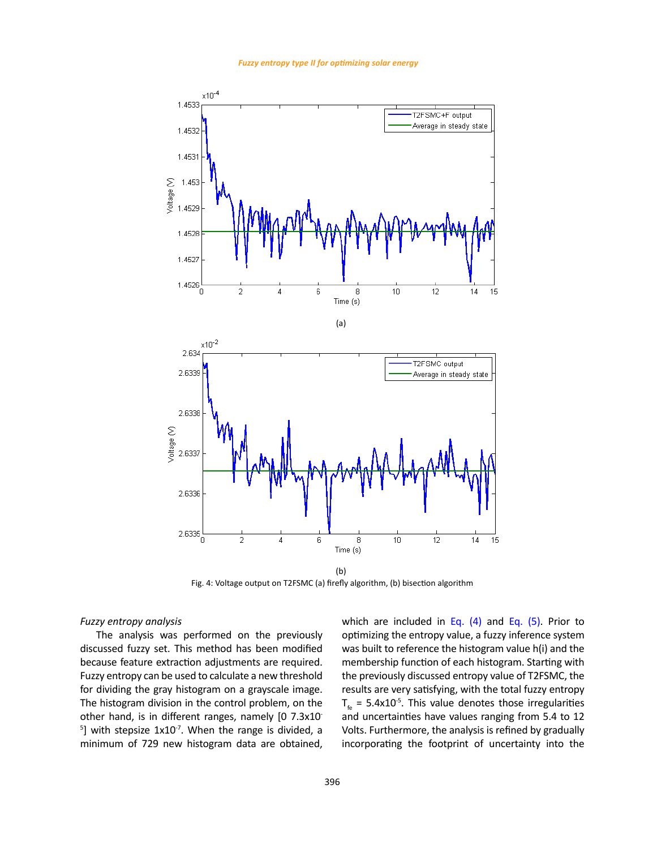*Fuzzy entropy type II for optimizing solar energy*



Fig. 4: Voltage output on T2FSMC (a) firefly algorithm, (b) bisection algorithm Fig. 4: Voltage output on T2FSMC (a) firefly algorithm, (b) bisection algorithm

#### *Fuzzy entropy analysis* and the company of the company of the

The analysis was performed on the previously discussed fuzzy set. This method has been modified because feature extraction adjustments are required. Fuzzy entropy can be used to calculate a new threshold for dividing the gray histogram on a grayscale image. The histogram division in the control problem, on the other hand, is in different ranges, namely [0 7.3x10-  $5$ ] with stepsize  $1x10^{-7}$ . When the range is divided, a minimum of 729 new histogram data are obtained,

which are included in Eq.  $(4)$  and Eq.  $(5)$ . Prior to optimizing the entropy value, a fuzzy inference system was built to reference the histogram value h(i) and the membership function of each histogram. Starting with the previously discussed entropy value of T2FSMC, the results are very satisfying, with the total fuzzy entropy  $T_{\epsilon}$  = 5.4x10<sup>-5</sup>. This value denotes those irregularities and uncertainties have values ranging from 5.4 to 12 Volts. Furthermore, the analysis is refined by gradually incorporating the footprint of uncertainty into the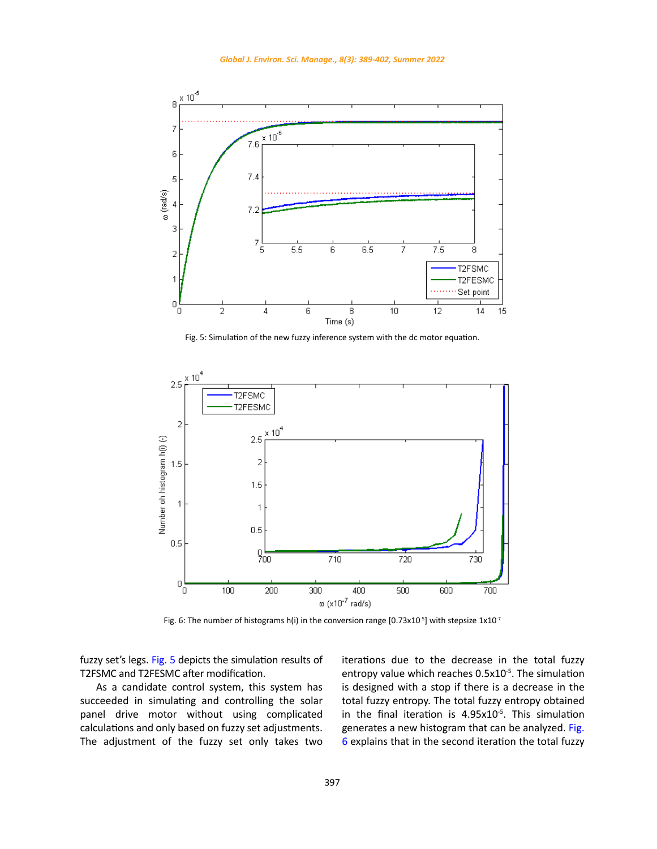

Fig. 5: Simulation of the new fuzzy inference system with the dc motor equation.



Fig. 6: The number of histograms h(i) in the conversion range [0.73x10<sup>-5</sup>] with stepsize 1x10<sup>-7</sup>

fuzzy set's legs. Fig. 5 depicts the simulation results of T2FSMC and T2FESMC after modification.

As a candidate control system, this system has succeeded in simulating and controlling the solar panel drive motor without using complicated calculations and only based on fuzzy set adjustments. The adjustment of the fuzzy set only takes two iterations due to the decrease in the total fuzzy entropy value which reaches 0.5x10<sup>-5</sup>. The simulation is designed with a stop if there is a decrease in the total fuzzy entropy. The total fuzzy entropy obtained in the final iteration is  $4.95x10^{-5}$ . This simulation generates a new histogram that can be analyzed. Fig. 6 explains that in the second iteration the total fuzzy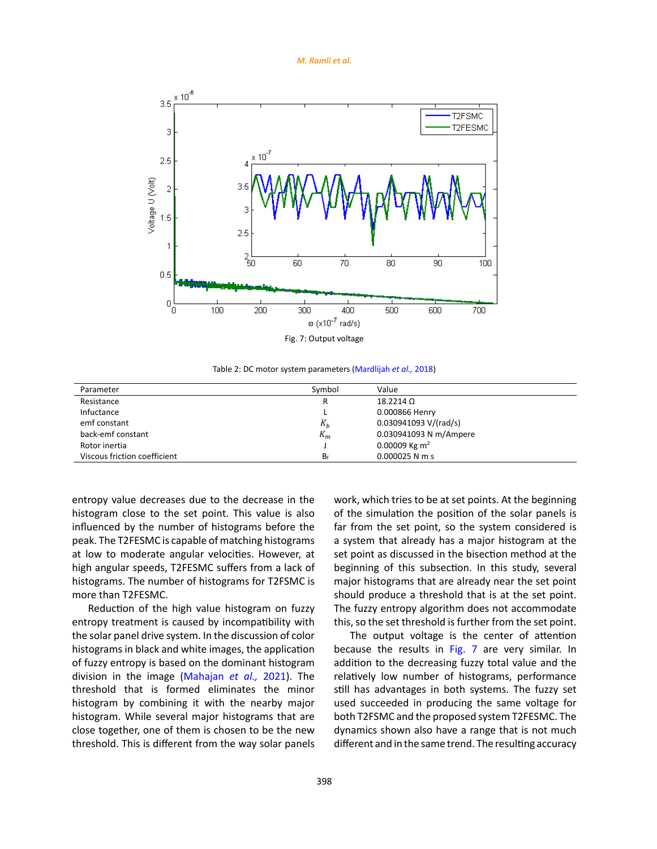*M. Ramli et al.*



Table 2: DC motor system parameters (Mardlijah *et al.,* 2018) Table 2: DC motor system parameters (Mardlijah *et al.,* 2018)

| Parameter                    | Symbol | Value                     |
|------------------------------|--------|---------------------------|
| Resistance                   | R      | $18.2214 \Omega$          |
| Infuctance                   |        | 0.000866 Henry            |
| emf constant                 | $K_h$  | 0.030941093 V/(rad/s)     |
| back-emf constant            | $K_m$  | 0.030941093 N m/Ampere    |
| Rotor inertia                |        | 0.00009 Kg m <sup>2</sup> |
| Viscous friction coefficient | $B_f$  | $0.000025$ N m s          |

entropy value decreases due to the decrease in the histogram close to the set point. This value is also influenced by the number of histograms before the peak. The T2FESMC is capable of matching histograms at low to moderate angular velocities. However, at high angular speeds, T2FESMC suffers from a lack of histograms. The number of histograms for T2FSMC is more than T2FESMC.

Reduction of the high value histogram on fuzzy entropy treatment is caused by incompatibility with the solar panel drive system. In the discussion of color histograms in black and white images, the application of fuzzy entropy is based on the dominant histogram division in the image (Mahajan *et al.,* 2021). The threshold that is formed eliminates the minor histogram by combining it with the nearby major histogram. While several major histograms that are close together, one of them is chosen to be the new threshold. This is different from the way solar panels

work, which tries to be at set points. At the beginning of the simulation the position of the solar panels is far from the set point, so the system considered is a system that already has a major histogram at the set point as discussed in the bisection method at the beginning of this subsection. In this study, several major histograms that are already near the set point should produce a threshold that is at the set point. The fuzzy entropy algorithm does not accommodate this, so the set threshold is further from the set point.

The output voltage is the center of attention because the results in Fig. 7 are very similar. In addition to the decreasing fuzzy total value and the relatively low number of histograms, performance still has advantages in both systems. The fuzzy set used succeeded in producing the same voltage for both T2FSMC and the proposed system T2FESMC. The dynamics shown also have a range that is not much different and in the same trend. The resulting accuracy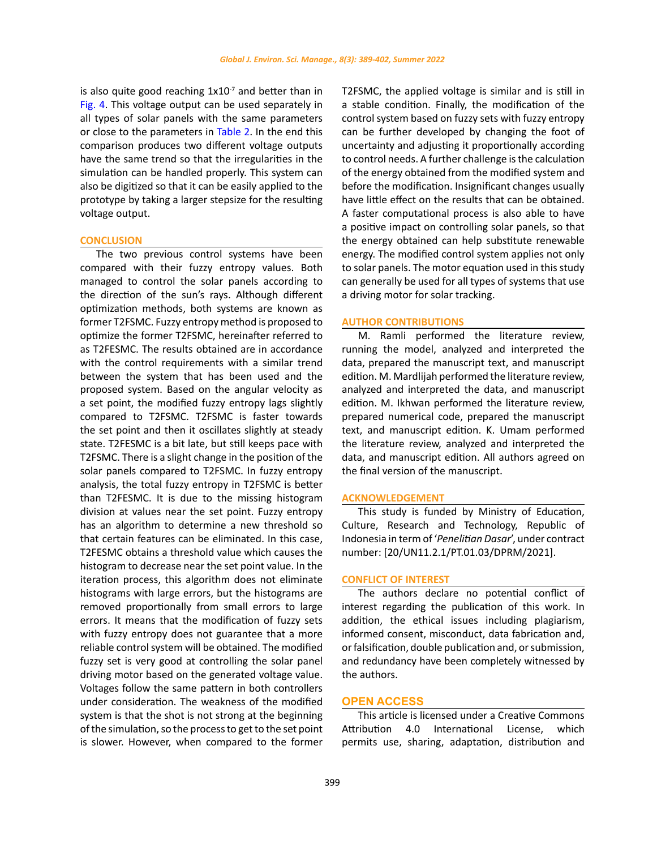is also quite good reaching  $1x10^{-7}$  and better than in Fig. 4. This voltage output can be used separately in all types of solar panels with the same parameters or close to the parameters in Table 2. In the end this comparison produces two different voltage outputs have the same trend so that the irregularities in the simulation can be handled properly. This system can also be digitized so that it can be easily applied to the prototype by taking a larger stepsize for the resulting voltage output.

### **CONCLUSION**

The two previous control systems have been compared with their fuzzy entropy values. Both managed to control the solar panels according to the direction of the sun's rays. Although different optimization methods, both systems are known as former T2FSMC. Fuzzy entropy method is proposed to optimize the former T2FSMC, hereinafter referred to as T2FESMC. The results obtained are in accordance with the control requirements with a similar trend between the system that has been used and the proposed system. Based on the angular velocity as a set point, the modified fuzzy entropy lags slightly compared to T2FSMC. T2FSMC is faster towards the set point and then it oscillates slightly at steady state. T2FESMC is a bit late, but still keeps pace with T2FSMC. There is a slight change in the position of the solar panels compared to T2FSMC. In fuzzy entropy analysis, the total fuzzy entropy in T2FSMC is better than T2FESMC. It is due to the missing histogram division at values near the set point. Fuzzy entropy has an algorithm to determine a new threshold so that certain features can be eliminated. In this case, T2FESMC obtains a threshold value which causes the histogram to decrease near the set point value. In the iteration process, this algorithm does not eliminate histograms with large errors, but the histograms are removed proportionally from small errors to large errors. It means that the modification of fuzzy sets with fuzzy entropy does not guarantee that a more reliable control system will be obtained. The modified fuzzy set is very good at controlling the solar panel driving motor based on the generated voltage value. Voltages follow the same pattern in both controllers under consideration. The weakness of the modified system is that the shot is not strong at the beginning of the simulation, so the process to get to the set point is slower. However, when compared to the former

T2FSMC, the applied voltage is similar and is still in a stable condition. Finally, the modification of the control system based on fuzzy sets with fuzzy entropy can be further developed by changing the foot of uncertainty and adjusting it proportionally according to control needs. A further challenge is the calculation of the energy obtained from the modified system and before the modification. Insignificant changes usually have little effect on the results that can be obtained. A faster computational process is also able to have a positive impact on controlling solar panels, so that the energy obtained can help substitute renewable energy. The modified control system applies not only to solar panels. The motor equation used in this study can generally be used for all types of systems that use a driving motor for solar tracking.

### **AUTHOR CONTRIBUTIONS**

M. Ramli performed the literature review, running the model, analyzed and interpreted the data, prepared the manuscript text, and manuscript edition. M. Mardlijah performed the literature review, analyzed and interpreted the data, and manuscript edition. M. Ikhwan performed the literature review, prepared numerical code, prepared the manuscript text, and manuscript edition. K. Umam performed the literature review, analyzed and interpreted the data, and manuscript edition. All authors agreed on the final version of the manuscript.

## **ACKNOWLEDGEMENT**

This study is funded by Ministry of Education, Culture, Research and Technology, Republic of Indonesia in term of '*Penelitian Dasar*', under contract number: [20/UN11.2.1/PT.01.03/DPRM/2021].

#### **CONFLICT OF INTEREST**

The authors declare no potential conflict of interest regarding the publication of this work. In addition, the ethical issues including plagiarism, informed consent, misconduct, data fabrication and, or falsification, double publication and, or submission, and redundancy have been completely witnessed by the authors.

### **OPEN ACCESS**

This article is licensed under a Creative Commons Attribution 4.0 International License, which permits use, sharing, adaptation, distribution and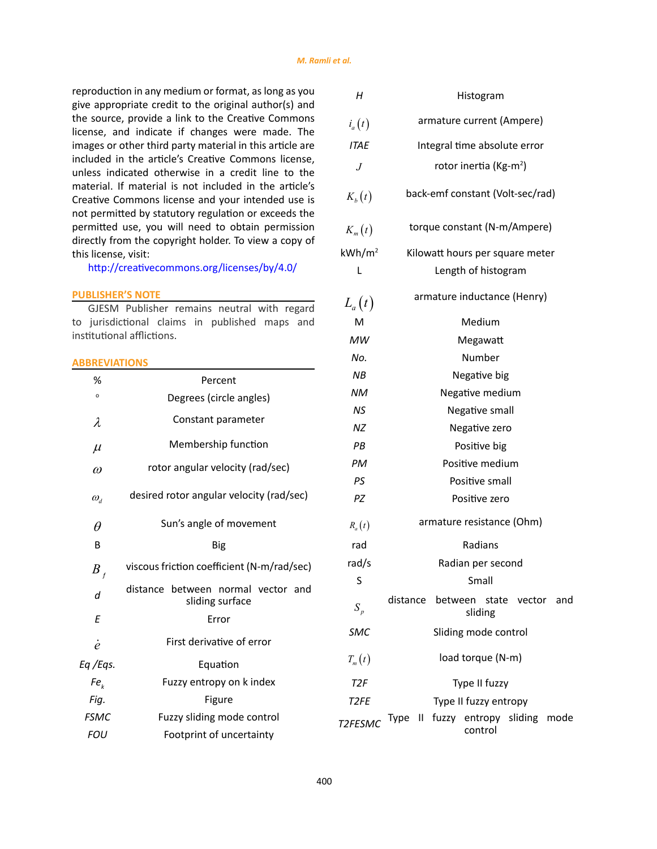reproduction in any medium or format, as long as you give appropriate credit to the original author(s) and the source, provide a link to the Creative Commons license, and indicate if changes were made. The images or other third party material in this article are included in the article's Creative Commons license, unless indicated otherwise in a credit line to the material. If material is not included in the article's Creative Commons license and your intended use is not permitted by statutory regulation or exceeds the permitted use, you will need to obtain permission directly from the copyright holder. To view a copy of this license, visit:

<http://creativecommons.org/licenses/by/4.0/>

## **PUBLISHER'S NOTE**

GJESM Publisher remains neutral with regard to jurisdictional claims in published maps and institutional afflictions.

## **ABBREVIATIONS**

| %               | Percent                                               |
|-----------------|-------------------------------------------------------|
| $\mathsf{o}$    | Degrees (circle angles)                               |
| λ               | Constant parameter                                    |
| $\mu$           | Membership function                                   |
| $\omega$        | rotor angular velocity (rad/sec)                      |
| $\omega_a$      | desired rotor angular velocity (rad/sec)              |
| $\theta$        | Sun's angle of movement                               |
| B               | Big                                                   |
| $B_{f}$         | viscous friction coefficient (N-m/rad/sec)            |
| d               | distance between normal vector and<br>sliding surface |
| E               | Error                                                 |
| ė               | First derivative of error                             |
| Eq /Eqs.        | Equation                                              |
| Fe <sub>k</sub> | Fuzzy entropy on k index                              |
| Fig.            | Figure                                                |
| <b>FSMC</b>     | Fuzzy sliding mode control                            |
| <b>FOU</b>      | Footprint of uncertainty                              |

| Н                 | Histogram                                                        |  |  |  |  |  |
|-------------------|------------------------------------------------------------------|--|--|--|--|--|
| $i_a(t)$          | armature current (Ampere)                                        |  |  |  |  |  |
| <b>ITAE</b>       | Integral time absolute error                                     |  |  |  |  |  |
| J                 | rotor inertia (Kg-m <sup>2</sup> )                               |  |  |  |  |  |
| $K_b(t)$          | back-emf constant (Volt-sec/rad)                                 |  |  |  |  |  |
| $K_m(t)$          | torque constant (N-m/Ampere)                                     |  |  |  |  |  |
| $kWh/m^2$         | Kilowatt hours per square meter                                  |  |  |  |  |  |
| L                 | Length of histogram                                              |  |  |  |  |  |
| $L_a(t)$          | armature inductance (Henry)                                      |  |  |  |  |  |
| M                 | Medium                                                           |  |  |  |  |  |
| MW                | Megawatt                                                         |  |  |  |  |  |
| No.               | Number                                                           |  |  |  |  |  |
| ΝB                | Negative big                                                     |  |  |  |  |  |
| <b>NM</b>         | Negative medium                                                  |  |  |  |  |  |
| ΝS                | Negative small                                                   |  |  |  |  |  |
| <b>NZ</b>         | Negative zero                                                    |  |  |  |  |  |
| PB                | Positive big                                                     |  |  |  |  |  |
| РM                | Positive medium                                                  |  |  |  |  |  |
| PS                | Positive small                                                   |  |  |  |  |  |
| ΡZ                | Positive zero                                                    |  |  |  |  |  |
| $R_a(t)$          | armature resistance (Ohm)                                        |  |  |  |  |  |
| rad               | Radians                                                          |  |  |  |  |  |
| rad/s             | Radian per second                                                |  |  |  |  |  |
| S                 | Small                                                            |  |  |  |  |  |
| $S_p$             | distance between state vector and<br>sliding                     |  |  |  |  |  |
| <b>SMC</b>        | Sliding mode control                                             |  |  |  |  |  |
| $T_m(t)$          | load torque (N-m)                                                |  |  |  |  |  |
| T <sub>2F</sub>   | Type II fuzzy                                                    |  |  |  |  |  |
| T <sub>2</sub> FE | Type II fuzzy entropy                                            |  |  |  |  |  |
| T2FESMC           | $\mathbf{H}$<br>fuzzy<br>entropy sliding mode<br>Type<br>control |  |  |  |  |  |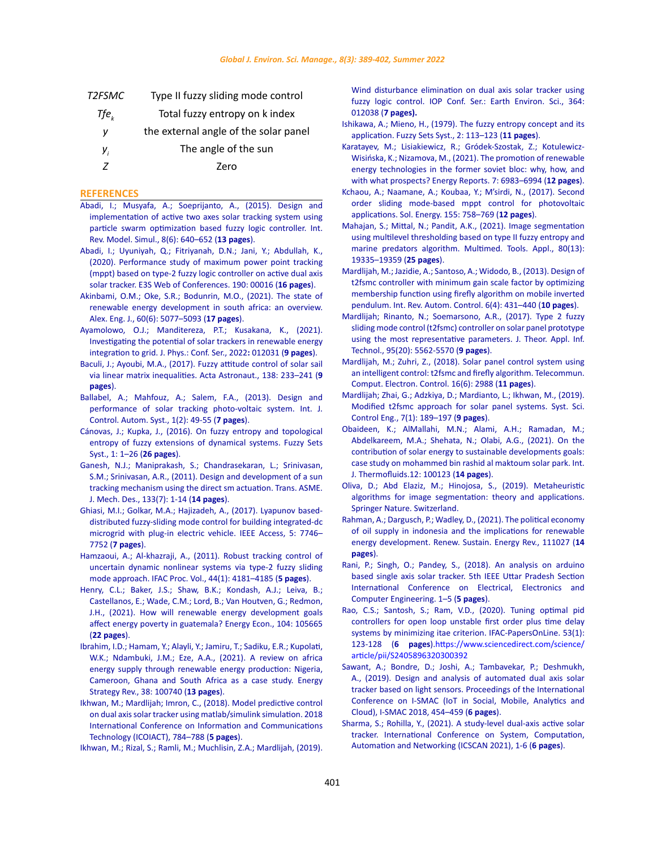| Type II fuzzy sliding mode control    |
|---------------------------------------|
| Total fuzzy entropy on k index        |
| the external angle of the solar panel |
| The angle of the sun                  |
| 7ero                                  |
|                                       |

### **REFERENCES**

- [Abadi, I.; Musyafa, A.; Soeprijanto, A., \(2015\). Design and](https://www.praiseworthyprize.org/jsm/index.php?journal=iremos&page=article&op=view&path%5b%5d=18235)  [implementation of active two axes solar tracking system using](https://www.praiseworthyprize.org/jsm/index.php?journal=iremos&page=article&op=view&path%5b%5d=18235)  [particle swarm optimization based fuzzy logic controller. Int.](https://www.praiseworthyprize.org/jsm/index.php?journal=iremos&page=article&op=view&path%5b%5d=18235)  [Rev. Model. Simul., 8\(6\): 640–652 \(](https://www.praiseworthyprize.org/jsm/index.php?journal=iremos&page=article&op=view&path%5b%5d=18235)**13 pages**).
- [Abadi, I.; Uyuniyah, Q.; Fitriyanah, D.N.; Jani, Y.; Abdullah, K.,](https://www.e3s-conferences.org/articles/e3sconf/abs/2020/50/e3sconf_icorer2020_00016/e3sconf_icorer2020_00016.html)  [\(2020\). Performance study of maximum power point tracking](https://www.e3s-conferences.org/articles/e3sconf/abs/2020/50/e3sconf_icorer2020_00016/e3sconf_icorer2020_00016.html)  [\(mppt\) based on type-2 fuzzy logic controller on active dual axis](https://www.e3s-conferences.org/articles/e3sconf/abs/2020/50/e3sconf_icorer2020_00016/e3sconf_icorer2020_00016.html)  [solar tracker. E3S Web of Conferences. 190: 00016 \(](https://www.e3s-conferences.org/articles/e3sconf/abs/2020/50/e3sconf_icorer2020_00016/e3sconf_icorer2020_00016.html)**16 pages**).
- [Akinbami, O.M.; Oke, S.R.; Bodunrin, M.O., \(2021\). The state of](https://www.sciencedirect.com/science/article/pii/S1110016821002295)  [renewable energy development in south africa: an overview.](https://www.sciencedirect.com/science/article/pii/S1110016821002295)  [Alex. Eng. J., 60\(6\): 5077–5093 \(](https://www.sciencedirect.com/science/article/pii/S1110016821002295)**17 pages**).
- Ayamolowo, O.J.; Manditereza, P.T.; Kusakana, K., (2021). Investigating the potential of solar trackers in renewable energy integration to grid. J. Phys.: Conf. Ser., 2022**:** 012031 (**9 pages**).
- [Baculi, J.; Ayoubi, M.A., \(2017\). Fuzzy attitude control of solar sail](https://www.sciencedirect.com/science/article/abs/pii/S0094576516311602)  [via linear matrix inequalities. Acta Astronaut., 138: 233–241 \(](https://www.sciencedirect.com/science/article/abs/pii/S0094576516311602)**9 [pages](https://www.sciencedirect.com/science/article/abs/pii/S0094576516311602)**).
- Ballabel, A.; Mahfouz, A.; Salem, F.A., (2013). Design and performance of solar tracking photo-voltaic system. Int. J. Control. Autom. Syst., 1(2): 49-55 (**7 pages**).
- [Cánovas, J.; Kupka, J., \(2016\). On fuzzy entropy and topological](https://dl.acm.org/doi/abs/10.1016/j.fss.2015.12.013)  [entropy of fuzzy extensions of dynamical systems. Fuzzy Sets](https://dl.acm.org/doi/abs/10.1016/j.fss.2015.12.013)  [Syst., 1: 1–26 \(](https://dl.acm.org/doi/abs/10.1016/j.fss.2015.12.013)**26 pages**).
- [Ganesh, N.J.; Maniprakash, S.; Chandrasekaran, L.; Srinivasan,](https://asmedigitalcollection.asme.org/mechanicaldesign/article-abstract/133/7/075001/467061/Design-and-Development-of-a-Sun-Tracking-Mechanism?redirectedFrom=fulltext)  [S.M.; Srinivasan, A.R., \(2011\). Design and development of a sun](https://asmedigitalcollection.asme.org/mechanicaldesign/article-abstract/133/7/075001/467061/Design-and-Development-of-a-Sun-Tracking-Mechanism?redirectedFrom=fulltext)  [tracking mechanism using the direct sm actuation. Trans. ASME.](https://asmedigitalcollection.asme.org/mechanicaldesign/article-abstract/133/7/075001/467061/Design-and-Development-of-a-Sun-Tracking-Mechanism?redirectedFrom=fulltext)  [J. Mech. Des., 133\(7\): 1-14 \(](https://asmedigitalcollection.asme.org/mechanicaldesign/article-abstract/133/7/075001/467061/Design-and-Development-of-a-Sun-Tracking-Mechanism?redirectedFrom=fulltext)**14 pages**).
- [Ghiasi, M.I.; Golkar, M.A.; Hajizadeh, A., \(2017\). Lyapunov based](https://ieeexplore.ieee.org/abstract/document/7904716)[distributed fuzzy-sliding mode control for building integrated-dc](https://ieeexplore.ieee.org/abstract/document/7904716)  [microgrid with plug-in electric vehicle. IEEE Access, 5: 7746–](https://ieeexplore.ieee.org/abstract/document/7904716) 7752 (**[7 pages](https://ieeexplore.ieee.org/abstract/document/7904716)**).
- [Hamzaoui, A.; Al-khazraji, A., \(2011\). Robust tracking control of](https://www.sciencedirect.com/science/article/pii/S1474667016442643)  [uncertain dynamic nonlinear systems via type-2 fuzzy sliding](https://www.sciencedirect.com/science/article/pii/S1474667016442643)  [mode approach. IFAC Proc. Vol., 44\(1\): 4181–4185 \(](https://www.sciencedirect.com/science/article/pii/S1474667016442643)**5 pages**).
- [Henry, C.L.; Baker, J.S.; Shaw, B.K.; Kondash, A.J.; Leiva, B.;](https://www.sciencedirect.com/science/article/pii/S0140988321005223)  [Castellanos, E.; Wade, C.M.; Lord, B.; Van Houtven, G.; Redmon,](https://www.sciencedirect.com/science/article/pii/S0140988321005223)  [J.H., \(2021\). How will renewable energy development goals](https://www.sciencedirect.com/science/article/pii/S0140988321005223)  [affect energy poverty in guatemala? Energy Econ., 104: 105665](https://www.sciencedirect.com/science/article/pii/S0140988321005223)  (**[22 pages](https://www.sciencedirect.com/science/article/pii/S0140988321005223)**).
- [Ibrahim, I.D.; Hamam, Y.; Alayli, Y.; Jamiru, T.; Sadiku, E.R.; Kupolati,](https://www.sciencedirect.com/science/article/pii/S2211467X21001255)  [W.K.; Ndambuki, J.M.; Eze, A.A., \(2021\). A review on africa](https://www.sciencedirect.com/science/article/pii/S2211467X21001255)  [energy supply through renewable energy production: Nigeria,](https://www.sciencedirect.com/science/article/pii/S2211467X21001255)  [Cameroon, Ghana and South Africa as a case study. Energy](https://www.sciencedirect.com/science/article/pii/S2211467X21001255)  [Strategy Rev., 38: 100740 \(](https://www.sciencedirect.com/science/article/pii/S2211467X21001255)**13 pages**).
- [Ikhwan, M.; Mardlijah; Imron, C., \(2018\). Model predictive control](https://ieeexplore.ieee.org/document/8350791/)  [on dual axis solar tracker using matlab/simulink simulation. 2018](https://ieeexplore.ieee.org/document/8350791/)  [International Conference on Information and Communications](https://ieeexplore.ieee.org/document/8350791/)  [Technology \(ICOIACT\), 784–788 \(](https://ieeexplore.ieee.org/document/8350791/)**5 pages**).
- [Ikhwan, M.; Rizal, S.; Ramli, M.; Muchlisin, Z.A.; Mardlijah, \(2019\).](https://iopscience.iop.org/article/10.1088/1755-1315/364/1/012038)

[Wind disturbance elimination on dual axis solar tracker using](https://iopscience.iop.org/article/10.1088/1755-1315/364/1/012038) [fuzzy logic control. IOP Conf. Ser.: Earth Environ. Sci., 364:](https://iopscience.iop.org/article/10.1088/1755-1315/364/1/012038) 012038 (**[7 pages\).](https://iopscience.iop.org/article/10.1088/1755-1315/364/1/012038)**

- [Ishikawa, A.; Mieno, H., \(1979\). The fuzzy entropy concept and its](https://www.sciencedirect.com/science/article/abs/pii/0165011479900204) [application. Fuzzy Sets Syst., 2: 113–123 \(](https://www.sciencedirect.com/science/article/abs/pii/0165011479900204)**11 pages**).
- [Karatayev, M.; Lisiakiewicz, R.; Gródek-Szostak, Z.; Kotulewicz-](https://www.sciencedirect.com/science/article/pii/S2352484721010854)[Wisińska, K.; Nizamova, M., \(2021\). The promotion of renewable](https://www.sciencedirect.com/science/article/pii/S2352484721010854) [energy technologies in the former soviet bloc: why, how, and](https://www.sciencedirect.com/science/article/pii/S2352484721010854) [with what prospects? Energy Reports. 7: 6983–6994 \(](https://www.sciencedirect.com/science/article/pii/S2352484721010854)**12 pages**).
- [Kchaou, A.; Naamane, A.; Koubaa, Y.; M'sirdi, N., \(2017\). Second](https://www.sciencedirect.com/science/article/abs/pii/S0038092X17305819) [order sliding mode-based mppt control for photovoltaic](https://www.sciencedirect.com/science/article/abs/pii/S0038092X17305819) [applications. Sol. Energy. 155: 758–769 \(](https://www.sciencedirect.com/science/article/abs/pii/S0038092X17305819)**12 pages**).
- [Mahajan, S.; Mittal, N.; Pandit, A.K., \(2021\). Image segmentation](https://link.springer.com/article/10.1007/s11042-021-10641-5) [using multilevel thresholding based on type II fuzzy entropy and](https://link.springer.com/article/10.1007/s11042-021-10641-5) [marine predators algorithm. Multimed. Tools. Appl., 80\(13\):](https://link.springer.com/article/10.1007/s11042-021-10641-5) [19335–19359 \(](https://link.springer.com/article/10.1007/s11042-021-10641-5)**25 pages**).
- [Mardlijah, M.; Jazidie, A.; Santoso, A.; Widodo, B., \(2013\). Design of](https://www.praiseworthyprize.org/jsm/index.php?journal=ireaco&page=article&op=view&path%5B%5D=12905) [t2fsmc controller with minimum gain scale factor by optimizing](https://www.praiseworthyprize.org/jsm/index.php?journal=ireaco&page=article&op=view&path%5B%5D=12905) [membership function using firefly algorithm on mobile inverted](https://www.praiseworthyprize.org/jsm/index.php?journal=ireaco&page=article&op=view&path%5B%5D=12905) [pendulum. Int. Rev. Autom. Control. 6\(4\): 431–440 \(](https://www.praiseworthyprize.org/jsm/index.php?journal=ireaco&page=article&op=view&path%5B%5D=12905)**10 pages**).
- [Mardlijah; Rinanto, N.; Soemarsono, A.R., \(2017\). Type 2 fuzzy](http://www.jatit.org/volumes/Vol95No20/24Vol95No20.pdf) [sliding mode control \(t2fsmc\) controller on solar panel prototype](http://www.jatit.org/volumes/Vol95No20/24Vol95No20.pdf) [using the most representative parameters. J. Theor. Appl. Inf.](http://www.jatit.org/volumes/Vol95No20/24Vol95No20.pdf) [Technol., 95\(20\): 5562-5570 \(](http://www.jatit.org/volumes/Vol95No20/24Vol95No20.pdf)**9 pages**).
- [Mardlijah, M.; Zuhri, Z., \(2018\). Solar panel control system using](http://journal.uad.ac.id/index.php/TELKOMNIKA/article/view/8694) [an intelligent control: t2fsmc and firefly algorithm. Telecommun.](http://journal.uad.ac.id/index.php/TELKOMNIKA/article/view/8694) [Comput. Electron. Control. 16\(6\): 2988 \(](http://journal.uad.ac.id/index.php/TELKOMNIKA/article/view/8694)**11 pages**).
- [Mardlijah; Zhai, G.; Adzkiya, D.; Mardianto, L.; Ikhwan, M., \(2019\).](https://www.tandfonline.com/doi/full/10.1080/21642583.2019.1625080) [Modified t2fsmc approach for solar panel systems. Syst. Sci.](https://www.tandfonline.com/doi/full/10.1080/21642583.2019.1625080) [Control Eng., 7\(1\): 189–197 \(](https://www.tandfonline.com/doi/full/10.1080/21642583.2019.1625080)**9 pages**).
- [Obaideen, K.; AlMallahi, M.N.; Alami, A.H.; Ramadan, M.;](https://www.sciencedirect.com/science/article/pii/S2666202721000604) [Abdelkareem, M.A.; Shehata, N.; Olabi, A.G., \(2021\). On the](https://www.sciencedirect.com/science/article/pii/S2666202721000604) [contribution of solar energy to sustainable developments goals:](https://www.sciencedirect.com/science/article/pii/S2666202721000604) [case study on mohammed bin rashid al maktoum solar park. Int.](https://www.sciencedirect.com/science/article/pii/S2666202721000604) [J. Thermofluids.12: 100123 \(](https://www.sciencedirect.com/science/article/pii/S2666202721000604)**14 pages**).
- [Oliva, D.; Abd Elaziz, M.; Hinojosa, S., \(2019\). Metaheuristic](https://link.springer.com/book/10.1007/978-3-030-12931-6) [algorithms for image segmentation: theory and applications.](https://link.springer.com/book/10.1007/978-3-030-12931-6) [Springer Nature. Switzerland.](https://link.springer.com/book/10.1007/978-3-030-12931-6)
- [Rahman, A.; Dargusch, P.; Wadley, D., \(2021\). The political economy](https://www.sciencedirect.com/science/article/abs/pii/S1364032121003178) [of oil supply in indonesia and the implications for renewable](https://www.sciencedirect.com/science/article/abs/pii/S1364032121003178) [energy development. Renew. Sustain. Energy Rev., 111027 \(](https://www.sciencedirect.com/science/article/abs/pii/S1364032121003178)**14 [pages](https://www.sciencedirect.com/science/article/abs/pii/S1364032121003178)**).
- [Rani, P.; Singh, O.; Pandey, S., \(2018\). An analysis on arduino](https://ieeexplore.ieee.org/document/8596874) [based single axis solar tracker. 5th IEEE Uttar Pradesh Section](https://ieeexplore.ieee.org/document/8596874) [International Conference on Electrical, Electronics and](https://ieeexplore.ieee.org/document/8596874) [Computer Engineering. 1–5 \(](https://ieeexplore.ieee.org/document/8596874)**5 pages**).
- [Rao, C.S.; Santosh, S.; Ram, V.D., \(2020\). Tuning optimal pid](https://www.sciencedirect.com/science/article/pii/S2405896320300392) [controllers for open loop unstable first order plus time delay](https://www.sciencedirect.com/science/article/pii/S2405896320300392) [systems by minimizing itae criterion. IFAC-PapersOnLine. 53\(1\):](https://www.sciencedirect.com/science/article/pii/S2405896320300392) [123-128 \(](https://www.sciencedirect.com/science/article/pii/S2405896320300392)**6 pages**)[.https://www.sciencedirect.com/science/](https://www.sciencedirect.com/science/article/pii/S2405896320300392) [article/pii/S2405896320300392](https://www.sciencedirect.com/science/article/pii/S2405896320300392)
- [Sawant, A.; Bondre, D.; Joshi, A.; Tambavekar, P.; Deshmukh,](https://ieeexplore.ieee.org/document/8653779) [A., \(2019\). Design and analysis of automated dual axis solar](https://ieeexplore.ieee.org/document/8653779) [tracker based on light sensors. Proceedings of the International](https://ieeexplore.ieee.org/document/8653779) [Conference on I-SMAC \(IoT in Social, Mobile, Analytics and](https://ieeexplore.ieee.org/document/8653779) [Cloud\), I-SMAC 2018, 454–459 \(](https://ieeexplore.ieee.org/document/8653779)**6 pages**).
- [Sharma, S.; Rohilla, Y., \(2021\). A study-level dual-axis active solar](https://ieeexplore.ieee.org/abstract/document/9526523) [tracker. International Conference on System, Computation,](https://ieeexplore.ieee.org/abstract/document/9526523) [Automation and Networking \(ICSCAN 2021\), 1-6 \(](https://ieeexplore.ieee.org/abstract/document/9526523)**6 pages**).